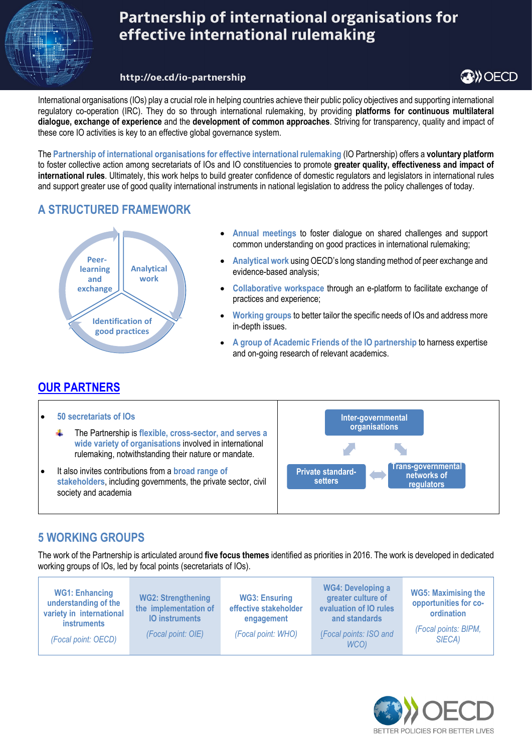

# Partnership of international organisations for effective international rulemaking

#### http://oe.cd/io-partnership

**OB**) OECD

International organisations (IOs) play a crucial role in helping countries achieve their public policy objectives and supporting international regulatory co-operation (IRC). They do so through international rulemaking, by providing **platforms for continuous multilateral dialogue, exchange of experience** and the **development of common approaches**. Striving for transparency, quality and impact of these core IO activities is key to an effective global governance system.

The **Partnership of international organisations for effective international rulemaking** (IO Partnership) offers a **voluntary platform** to foster collective action among secretariats of IOs and IO constituencies to promote **greater quality, effectiveness and impact of international rules**. Ultimately, this work helps to build greater confidence of domestic regulators and legislators in international rules and support greater use of good quality international instruments in national legislation to address the policy challenges of today.

### **A STRUCTURED FRAMEWORK**



- **[Annual meetings](http://www.oecd.org/gov/regulatory-policy/international-organisations-and-role-in-irc.htm)** to foster dialogue on shared challenges and support common understanding on good practices in international rulemaking;
- **Analytical work** using OECD's long standing method of peer exchange and evidence-based analysis;
- **Collaborative workspace** through an e-platform to facilitate exchange of practices and experience;
- **Working groups** to better tailor the specific needs of IOs and address more in-depth issues.
- **A group of Academic Friends of the IO partnership** to harness expertise and on-going research of relevant academics.

### **[OUR PARTNERS](http://www.oecd.org/gov/regulatory-policy/members-of-the-partnership-of-international-organisations-for-effective-international-rule-making.htm)**



### **5 WORKING GROUPS**

The work of the Partnership is articulated around **five focus themes** identified as priorities in 2016. The work is developed in dedicated working groups of IOs, led by focal points (secretariats of IOs).

| <b>WG1: Enhancing</b><br><b>WG2: Strengthening</b><br><b>WG3: Ensuring</b><br>understanding of the<br>effective stakeholder<br>the implementation of<br>variety in international<br><b>10 instruments</b><br>engagement<br><b>instruments</b><br>(Focal point: WHO)<br>(Focal point: OIE)<br>(Focal point: OECD) | <b>WG4: Developing a</b><br>greater culture of<br>evaluation of IO rules<br>and standards<br>(Focal points: ISO and<br>WCO) | <b>WG5: Maximising the</b><br>opportunities for co-<br>ordination<br>(Focal points: BIPM,<br>SIECA) |
|------------------------------------------------------------------------------------------------------------------------------------------------------------------------------------------------------------------------------------------------------------------------------------------------------------------|-----------------------------------------------------------------------------------------------------------------------------|-----------------------------------------------------------------------------------------------------|
|------------------------------------------------------------------------------------------------------------------------------------------------------------------------------------------------------------------------------------------------------------------------------------------------------------------|-----------------------------------------------------------------------------------------------------------------------------|-----------------------------------------------------------------------------------------------------|